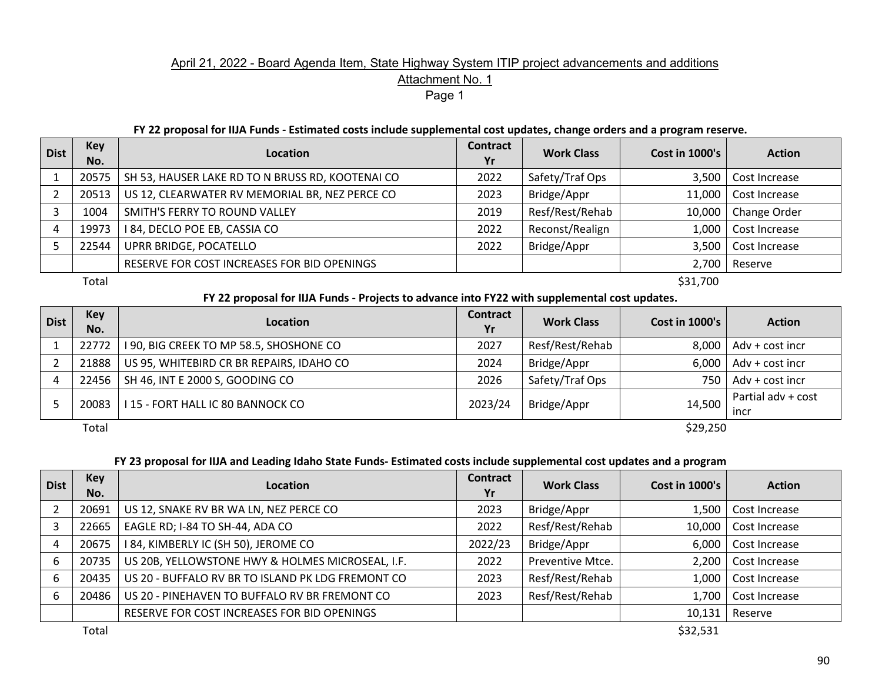## April 21, 2022 - Board Agenda Item, State Highway System ITIP project advancements and additions Attachment No. 1 Page 1

#### **FY 22 proposal for IIJA Funds - Estimated costs include supplemental cost updates, change orders and a program reserve.**

| <b>Dist</b> | <b>Key</b><br>No. | Location                                         | <b>Contract</b><br>Yr | <b>Work Class</b> | <b>Cost in 1000's</b> | <b>Action</b> |
|-------------|-------------------|--------------------------------------------------|-----------------------|-------------------|-----------------------|---------------|
|             | 20575             | SH 53, HAUSER LAKE RD TO N BRUSS RD, KOOTENAI CO | 2022                  | Safety/Traf Ops   | 3.500                 | Cost Increase |
|             | 20513             | US 12, CLEARWATER RV MEMORIAL BR, NEZ PERCE CO   | 2023                  | Bridge/Appr       | 11,000                | Cost Increase |
|             | 1004              | SMITH'S FERRY TO ROUND VALLEY                    | 2019                  | Resf/Rest/Rehab   | 10,000                | Change Order  |
|             | 19973             | I 84, DECLO POE EB, CASSIA CO                    | 2022                  | Reconst/Realign   | 1,000                 | Cost Increase |
|             | 22544             | UPRR BRIDGE, POCATELLO                           | 2022                  | Bridge/Appr       | 3,500                 | Cost Increase |
|             |                   | RESERVE FOR COST INCREASES FOR BID OPENINGS      |                       |                   | 2,700                 | Reserve       |
|             | Total             |                                                  |                       |                   | \$31,700              |               |

### **FY 22 proposal for IIJA Funds - Projects to advance into FY22 with supplemental cost updates.**

| <b>Dist</b> | <b>Key</b><br>No. | <b>Location</b>                          | <b>Contract</b><br>Yr | <b>Work Class</b> | <b>Cost in 1000's</b> | <b>Action</b>              |
|-------------|-------------------|------------------------------------------|-----------------------|-------------------|-----------------------|----------------------------|
|             | 22772             | 190, BIG CREEK TO MP 58.5, SHOSHONE CO   | 2027                  | Resf/Rest/Rehab   | 8.000                 | Adv + cost incr            |
|             | 21888             | US 95, WHITEBIRD CR BR REPAIRS, IDAHO CO | 2024                  | Bridge/Appr       | 6,000                 | Adv + cost incr            |
|             | 22456             | SH 46, INT E 2000 S, GOODING CO          | 2026                  | Safety/Traf Ops   | 750                   | Adv + cost incr            |
|             | 20083             | I 15 - FORT HALL IC 80 BANNOCK CO        | 2023/24               | Bridge/Appr       | 14,500                | Partial adv + cost<br>incr |
|             | Total             |                                          |                       |                   | \$29,250              |                            |

### **FY 23 proposal for IIJA and Leading Idaho State Funds- Estimated costs include supplemental cost updates and a program**

| <b>Dist</b> | <b>Key</b><br>No. | Location                                          | <b>Contract</b><br>Yr | <b>Work Class</b> | <b>Cost in 1000's</b> | <b>Action</b> |
|-------------|-------------------|---------------------------------------------------|-----------------------|-------------------|-----------------------|---------------|
|             | 20691             | US 12, SNAKE RV BR WA LN, NEZ PERCE CO            | 2023                  | Bridge/Appr       | 1,500                 | Cost Increase |
|             | 22665             | EAGLE RD; I-84 TO SH-44, ADA CO                   | 2022                  | Resf/Rest/Rehab   | 10,000                | Cost Increase |
|             | 20675             | I 84, KIMBERLY IC (SH 50), JEROME CO              | 2022/23               | Bridge/Appr       | 6,000                 | Cost Increase |
| b           | 20735             | US 20B, YELLOWSTONE HWY & HOLMES MICROSEAL, I.F.  | 2022                  | Preventive Mtce.  | 2,200                 | Cost Increase |
| b           | 20435             | US 20 - BUFFALO RV BR TO ISLAND PK LDG FREMONT CO | 2023                  | Resf/Rest/Rehab   | 1,000                 | Cost Increase |
| b           | 20486             | US 20 - PINEHAVEN TO BUFFALO RV BR FREMONT CO     | 2023                  | Resf/Rest/Rehab   | 1,700                 | Cost Increase |
|             |                   | RESERVE FOR COST INCREASES FOR BID OPENINGS       |                       |                   | 10,131                | Reserve       |

 $\textsf{Total}$